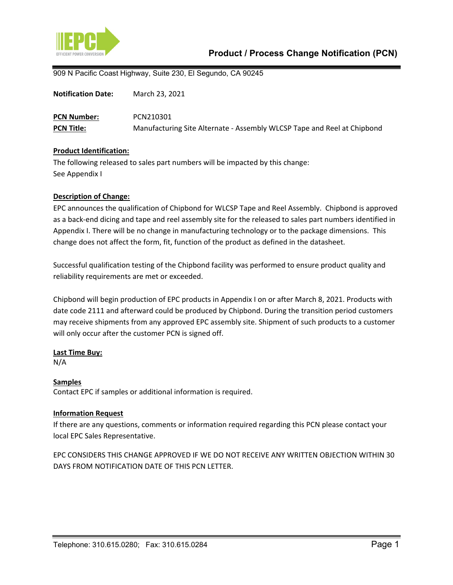

909 N Pacific Coast Highway, Suite 230, El Segundo, CA 90245

| <b>Notification Date:</b> | March 23, 2021                                                          |
|---------------------------|-------------------------------------------------------------------------|
| <b>PCN Number:</b>        | PCN210301                                                               |
| <b>PCN Title:</b>         | Manufacturing Site Alternate - Assembly WLCSP Tape and Reel at Chipbond |

#### **Product Identification:**

The following released to sales part numbers will be impacted by this change: See Appendix I

#### **Description of Change:**

EPC announces the qualification of Chipbond for WLCSP Tape and Reel Assembly. Chipbond is approved as a back-end dicing and tape and reel assembly site for the released to sales part numbers identified in Appendix I. There will be no change in manufacturing technology or to the package dimensions. This change does not affect the form, fit, function of the product as defined in the datasheet.

Successful qualification testing of the Chipbond facility was performed to ensure product quality and reliability requirements are met or exceeded.

Chipbond will begin production of EPC products in Appendix I on or after March 8, 2021. Products with date code 2111 and afterward could be produced by Chipbond. During the transition period customers may receive shipments from any approved EPC assembly site. Shipment of such products to a customer will only occur after the customer PCN is signed off.

#### **Last Time Buy:**

N/A

## **Samples**

Contact EPC if samples or additional information is required.

## **Information Request**

If there are any questions, comments or information required regarding this PCN please contact your local EPC Sales Representative.

EPC CONSIDERS THIS CHANGE APPROVED IF WE DO NOT RECEIVE ANY WRITTEN OBJECTION WITHIN 30 DAYS FROM NOTIFICATION DATE OF THIS PCN LETTER.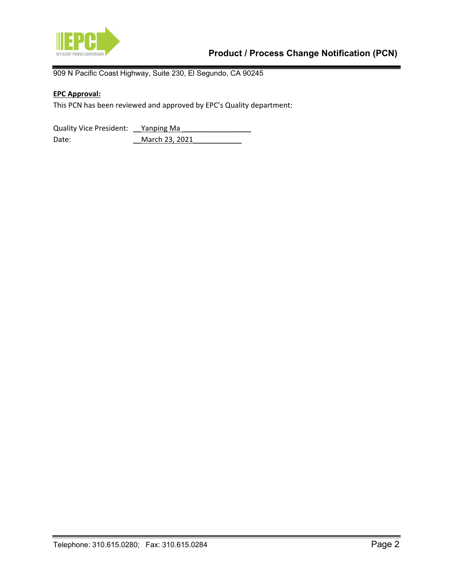

909 N Pacific Coast Highway, Suite 230, El Segundo, CA 90245

# **EPC Approval:**

This PCN has been reviewed and approved by EPC's Quality department:

Quality Vice President: <u>Yanping Ma</u> Date: \_\_March 23, 2021\_\_\_\_\_\_\_\_\_\_\_\_